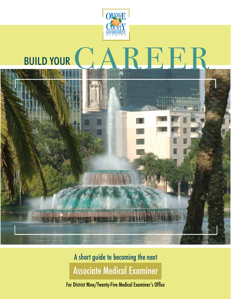

# A short guide to becoming the next Associate Medical Examiner

For District Nine/Twenty-Five Medical Examiner's Office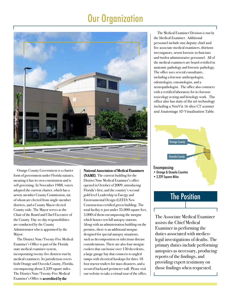# Our Organization



Orange County Government is a charter form of government under Florida statutes, meaning it has its own constitution and is self-governing. In November 1988, voters adopted the current charter, which has a seven-member County Commission, six of whom are elected from single-member districts, and a County Mayor elected County wide. The Mayor serves as the Chair of the Board and Chief Executive of the County. Day-to-day responsibilities are conducted by the County Administrator who is appointed by the Mayor.

The District Nine/Twenty-Five Medical Examiner's Office is part of the Florida state medical examiner system, incorporating twenty-five districts run by medical examiners. Its jurisdiction covers both Orange and Osceola County, Florida, encompassing about 2,229 square miles. The District Nine/Twenty-Five Medical Examiner's Office is accredited by the

#### National Association of Medical Examiners

(NAME). The current building for the District Nine Medical Examiner's office opened in October of 2009, introducing Florida's first, and the country's second gold level Leadership in Energy and Environmental Design (LEED) New Construction certified green building. The total facility is just under 35,000 square feet, 5,000 of them encompassing the morgue which houses ten full autopsy stations. Along with an administration building on the premise, there is an additional morgue designed for special autopsy situations, such as decomposition or infectious disease considerations. There are also four morgue coolers that can house over 150 decedents, a large garage bay that connects to angled ramps with electrical hookups for three 18 foot tractor trailers for mass disasters, and a secured backyard perimeter wall. Please visit our website to take a virtual tour of the office.

The Medical Examiner Division is run by the Medical Examiner. Additional personnel include one deputy chief and five associate medical examiners, thirteen investigators, seven forensic technicians and twelve administrative personnel. All of the medical examiners are board certified in anatomic pathology and forensic pathology. The office uses several consultants, including a forensic anthropologist, odontologist, entomologist, and a neuropathologist. The office also contracts with a certified laboratory for its forensic toxicology testing and histology work. The office also has state of the art technology including a NeuViz 16-slice CT scanner and Anatomage 3D Visualization Table.



## The Position

The Associate Medical Examiner assists the Chief Medical Examiner in performing the duties associated with medicolegal investigations of deaths. The primary duties include performing autopsies as necessary, producing reports of the findings, and providing expert testimony on those findings when requested.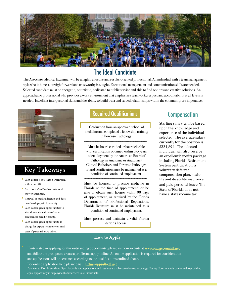

### The Ideal Candidate

The Associate Medical Examiner will be a highly effective and results-oriented professional. An individual with a team management style who is honest, straightforward and trustworthy is sought. Exceptional management and communication skills are needed. Selected candidate must be energetic, optimistic, dedicated to public service and able to find options and creative solutions. An approachable professional who provides a work environment that emphasizes teamwork, respect and accountability at all levels is needed. Excellent interpersonal skills and the ability to build trust and valued relationships within the community are imperative.



## Key Takeways

- Each doctor's office has a workroom within the office.
- Each doctor's office has restroom/ shower amenities.
- Renewal of medical license and dues/ memberships paid by county.
- Each doctor given opportunities to attend in-state and out-of-state conferencespaid by county.
- Each doctor given opportunity to charge for expert testimony on civil cases if personal leave taken.

### Required Qualifications Compensation

Graduation from an approved school of medicine and completed a fellowship training in Forensic Pathology.

Must be board certified or board eligible with certification obtained within two years of employment by the American Board of Pathology in Anatomic or Anatomic/ Clinical Pathology and Forensic Pathology. Board certification must be maintained as a condition of continued employment.

Must be licensed to practice medicine in Florida at the time of appointment, or be able to obtain such license within 90 days of appointment, as required by the Florida Department of Professional Regulations. Florida licensure must be maintained as a condition of continued employment.

Must possess and maintain a valid Florida driver's license.

Starting salary will be based upon the knowledge and experience of the individual selected. The average salary currently for the position is \$234,894. The selected individual will also receive an excellent benefits package including Florida Retirement System participation, a voluntary deferred compensation plan, health, life and disability insurance, and paid personal leave. The State of Florida does not have a state income tax.

#### **How to Apply**

If interested in applying for this outstanding opportunity, please visit our website at www.orangecountyfl.net and follow the prompts to create a profile and apply online. An online application is required for consideration and applications will be screened according to the qualifications outlined above.

For online application help please email Online-apps@ocfl.net

Pursuant to Florida Sunshine Open Records law, applications and resumes are subject to disclosure.Orange County Government is committed to providing equal opportunity in employment and services to all individuals.